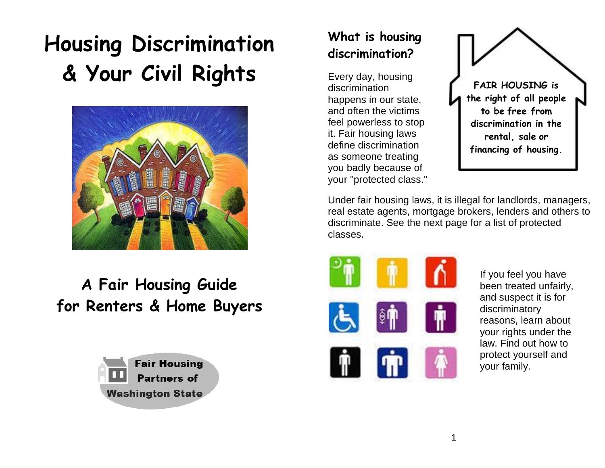# **Housing Discrimination & Your Civil Rights**



## **A Fair Housing Guide for Renters & Home Buyers**



## **What is housing discrimination?**

Every day, housing discrimination happens in our state, and often the victims feel powerless to stop it. Fair housing laws define discrimination as someone treating you badly because of your "protected class."



Under fair housing laws, it is illegal for landlords, managers, real estate agents, mortgage brokers, lenders and others to discriminate. See the next page for a list of protected classes.



If you feel you have been treated unfairly, and suspect it is for discriminatory reasons, learn about your rights under the law. Find out how to protect yourself and your family.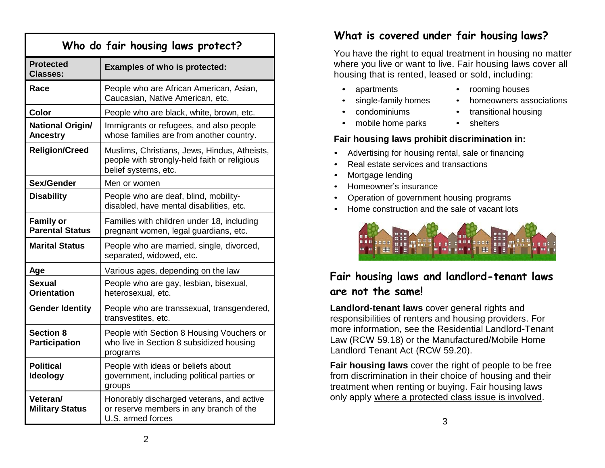| Who do fair housing laws protect?          |                                                                                                                      |
|--------------------------------------------|----------------------------------------------------------------------------------------------------------------------|
| <b>Protected</b><br><b>Classes:</b>        | <b>Examples of who is protected:</b>                                                                                 |
| Race                                       | People who are African American, Asian,<br>Caucasian, Native American, etc.                                          |
| <b>Color</b>                               | People who are black, white, brown, etc.                                                                             |
| National Origin/<br><b>Ancestry</b>        | Immigrants or refugees, and also people<br>whose families are from another country.                                  |
| <b>Religion/Creed</b>                      | Muslims, Christians, Jews, Hindus, Atheists,<br>people with strongly-held faith or religious<br>belief systems, etc. |
| Sex/Gender                                 | Men or women                                                                                                         |
| <b>Disability</b>                          | People who are deaf, blind, mobility-<br>disabled, have mental disabilities, etc.                                    |
| <b>Family or</b><br><b>Parental Status</b> | Families with children under 18, including<br>pregnant women, legal guardians, etc.                                  |
| <b>Marital Status</b>                      | People who are married, single, divorced,<br>separated, widowed, etc.                                                |
| Age                                        | Various ages, depending on the law                                                                                   |
| Sexual<br><b>Orientation</b>               | People who are gay, lesbian, bisexual,<br>heterosexual, etc.                                                         |
| <b>Gender Identity</b>                     | People who are transsexual, transgendered,<br>transvestites, etc.                                                    |
| <b>Section 8</b><br><b>Participation</b>   | People with Section 8 Housing Vouchers or<br>who live in Section 8 subsidized housing<br>programs                    |
| Political<br>Ideology                      | People with ideas or beliefs about<br>government, including political parties or<br>groups                           |
| Veteran/<br><b>Military Status</b>         | Honorably discharged veterans, and active<br>or reserve members in any branch of the<br>U.S. armed forces            |

## **What is covered under fair housing laws?**

You have the right to equal treatment in housing no matter where you live or want to live. Fair housing laws cover all housing that is rented, leased or sold, including:

- apartments
- single-family homes

• mobile home parks

- condominiums
- transitional housing • shelters

• rooming houses

• homeowners associations

#### **Fair housing laws prohibit discrimination in:**

- Advertising for housing rental, sale or financing
- Real estate services and transactions
- Mortgage lending
- Homeowner's insurance
- Operation of government housing programs
- Home construction and the sale of vacant lots



## **Fair housing laws and landlord-tenant laws are not the same!**

**Landlord-tenant laws** cover general rights and responsibilities of renters and housing providers. For more information, see the Residential Landlord-Tenant Law (RCW 59.18) or the Manufactured/Mobile Home Landlord Tenant Act (RCW 59.20).

**Fair housing laws** cover the right of people to be free from discrimination in their choice of housing and their treatment when renting or buying. Fair housing laws only apply where a protected class issue is involved.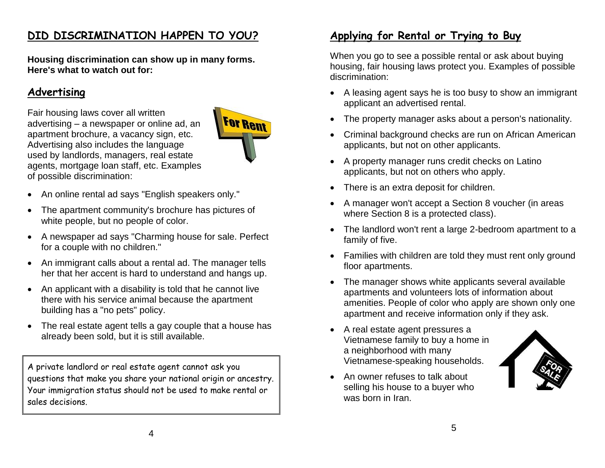## **DID DISCRIMINATION HAPPEN TO YOU?**

**Housing discrimination can show up in many forms. Here's what to watch out for:**

## **Advertising**

Fair housing laws cover all written advertising – a newspaper or online ad, an apartment brochure, a vacancy sign, etc. Advertising also includes the language used by landlords, managers, real estate agents, mortgage loan staff, etc. Examples of possible discrimination:



- An online rental ad says "English speakers only."
- The apartment community's brochure has pictures of white people, but no people of color.
- A newspaper ad says "Charming house for sale. Perfect for a couple with no children."
- An immigrant calls about a rental ad. The manager tells her that her accent is hard to understand and hangs up.
- An applicant with a disability is told that he cannot live there with his service animal because the apartment building has a "no pets" policy.
- The real estate agent tells a gay couple that a house has already been sold, but it is still available.

A private landlord or real estate agent cannot ask you questions that make you share your national origin or ancestry. Your immigration status should not be used to make rental or sales decisions.

## **Applying for Rental or Trying to Buy**

When you go to see a possible rental or ask about buying housing, fair housing laws protect you. Examples of possible discrimination:

- A leasing agent says he is too busy to show an immigrant applicant an advertised rental.
- The property manager asks about a person's nationality.
- Criminal background checks are run on African American applicants, but not on other applicants.
- A property manager runs credit checks on Latino applicants, but not on others who apply.
- There is an extra deposit for children.
- A manager won't accept a Section 8 voucher (in areas where Section 8 is a protected class).
- The landlord won't rent a large 2-bedroom apartment to a family of five.
- Families with children are told they must rent only ground floor apartments.
- The manager shows white applicants several available apartments and volunteers lots of information about amenities. People of color who apply are shown only one apartment and receive information only if they ask.
- A real estate agent pressures a Vietnamese family to buy a home in a neighborhood with many Vietnamese-speaking households.



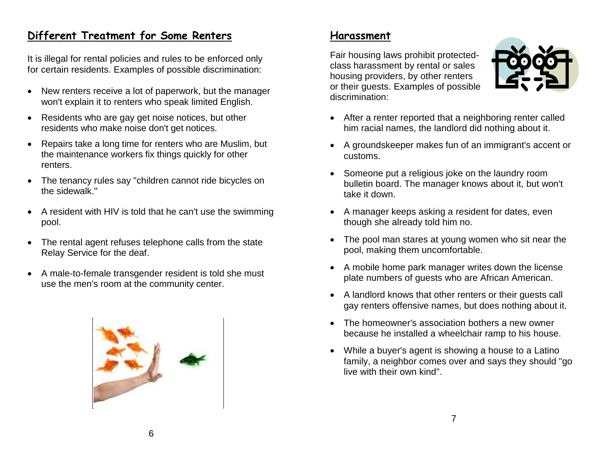## **Different Treatment for Some Renters**

It is illegal for rental policies and rules to be enforced only for certain residents. Examples of possible discrimination:

- New renters receive a lot of paperwork, but the manager won't explain it to renters who speak limited English.
- Residents who are gay get noise notices, but other residents who make noise don't get notices.
- Repairs take a long time for renters who are Muslim, but the maintenance workers fix things quickly for other renters.
- The tenancy rules say "children cannot ride bicycles on the sidewalk."
- A resident with HIV is told that he can't use the swimming pool.
- The rental agent refuses telephone calls from the state Relay Service for the deaf.
- A male-to-female transgender resident is told she must use the men's room at the community center.



#### **Harassment**

Fair housing laws prohibit protectedclass harassment by rental or sales housing providers, by other renters or their guests. Examples of possible discrimination:



- After a renter reported that a neighboring renter called him racial names, the landlord did nothing about it.
- A groundskeeper makes fun of an immigrant's accent or customs.
- Someone put a religious joke on the laundry room bulletin board. The manager knows about it, but won't take it down.
- A manager keeps asking a resident for dates, even though she already told him no.
- The pool man stares at young women who sit near the pool, making them uncomfortable.
- A mobile home park manager writes down the license plate numbers of guests who are African American.
- A landlord knows that other renters or their guests call gay renters offensive names, but does nothing about it.
- The homeowner's association bothers a new owner because he installed a wheelchair ramp to his house.
- While a buyer's agent is showing a house to a Latino family, a neighbor comes over and says they should "go live with their own kind".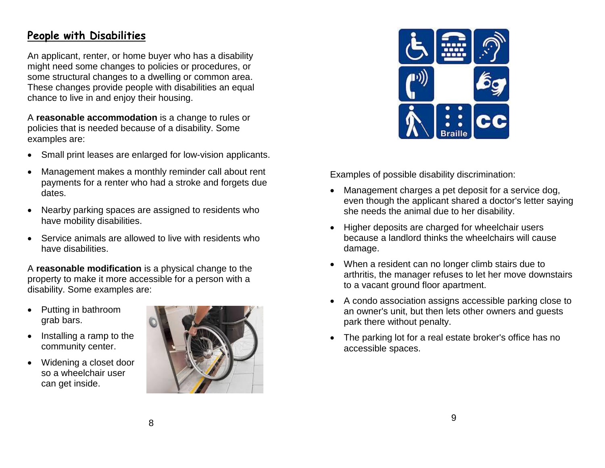#### **People with Disabilities**

An applicant, renter, or home buyer who has a disability might need some changes to policies or procedures, or some structural changes to a dwelling or common area. These changes provide people with disabilities an equal chance to live in and enjoy their housing.

A **reasonable accommodation** is a change to rules or policies that is needed because of a disability. Some examples are:

- Small print leases are enlarged for low-vision applicants.
- Management makes a monthly reminder call about rent payments for a renter who had a stroke and forgets due dates.
- Nearby parking spaces are assigned to residents who have mobility disabilities.
- Service animals are allowed to live with residents who have disabilities.

A **reasonable modification** is a physical change to the property to make it more accessible for a person with a disability. Some examples are:

- Putting in bathroom grab bars.
- $\bullet$  Installing a ramp to the community center.
- Widening a closet door so a wheelchair user can get inside.





Examples of possible disability discrimination:

- Management charges a pet deposit for a service dog, even though the applicant shared a doctor's letter saying she needs the animal due to her disability.
- Higher deposits are charged for wheelchair users because a landlord thinks the wheelchairs will cause damage.
- When a resident can no longer climb stairs due to arthritis, the manager refuses to let her move downstairs to a vacant ground floor apartment.
- A condo association assigns accessible parking close to an owner's unit, but then lets other owners and guests park there without penalty.
- The parking lot for a real estate broker's office has no accessible spaces.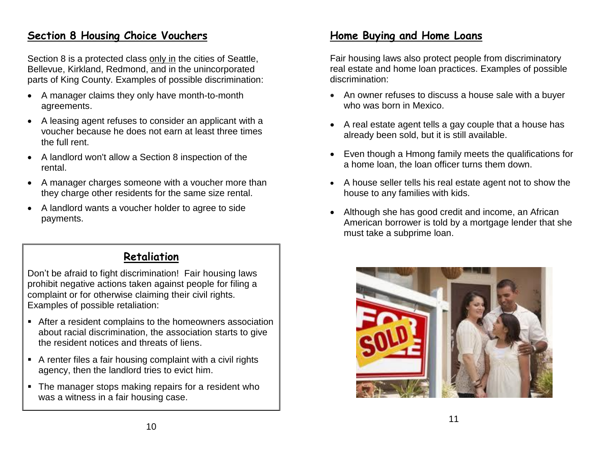#### **Section 8 Housing Choice Vouchers**

Section 8 is a protected class only in the cities of Seattle, Bellevue, Kirkland, Redmond, and in the unincorporated parts of King County. Examples of possible discrimination:

- A manager claims they only have month-to-month agreements.
- A leasing agent refuses to consider an applicant with a voucher because he does not earn at least three times the full rent.
- A landlord won't allow a Section 8 inspection of the rental.
- A manager charges someone with a voucher more than they charge other residents for the same size rental.
- A landlord wants a voucher holder to agree to side payments.

## **Retaliation**

Don't be afraid to fight discrimination! Fair housing laws prohibit negative actions taken against people for filing a complaint or for otherwise claiming their civil rights. Examples of possible retaliation:

- After a resident complains to the homeowners association about racial discrimination, the association starts to give the resident notices and threats of liens.
- A renter files a fair housing complaint with a civil rights agency, then the landlord tries to evict him.
- The manager stops making repairs for a resident who was a witness in a fair housing case.

## **Home Buying and Home Loans**

Fair housing laws also protect people from discriminatory real estate and home loan practices. Examples of possible discrimination:

- An owner refuses to discuss a house sale with a buyer who was born in Mexico.
- A real estate agent tells a gay couple that a house has already been sold, but it is still available.
- Even though a Hmong family meets the qualifications for a home loan, the loan officer turns them down.
- A house seller tells his real estate agent not to show the house to any families with kids.
- Although she has good credit and income, an African American borrower is told by a mortgage lender that she must take a subprime loan.



11